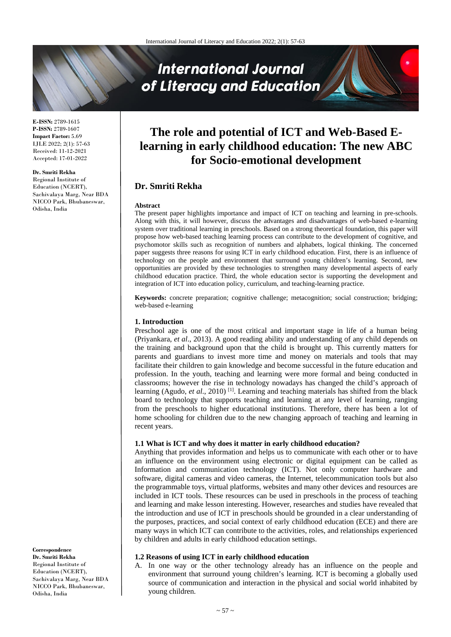# **International Journal** of Literacy and Education

**E-ISSN:** 2789-1615 **P-ISSN:** 2789-1607 **Impact Factor:** 5.69 IJLE 2022; 2(1): 57-63 Received: 11-12-2021 Accepted: 17-01-2022

#### **Dr. Smriti Rekha** Regional Institute of

Education (NCERT), Sachivalaya Marg, Near BDA NICCO Park, Bhubaneswar, Odisha, India

## **The role and potential of ICT and Web-Based Elearning in early childhood education: The new ABC for Socio-emotional development**

### **Dr. Smriti Rekha**

#### **Abstract**

The present paper highlights importance and impact of ICT on teaching and learning in pre-schools. Along with this, it will however, discuss the advantages and disadvantages of web-based e-learning system over traditional learning in preschools. Based on a strong theoretical foundation, this paper will propose how web-based teaching learning process can contribute to the development of cognitive, and psychomotor skills such as recognition of numbers and alphabets, logical thinking. The concerned paper suggests three reasons for using ICT in early childhood education. First, there is an influence of technology on the people and environment that surround young children's learning. Second, new opportunities are provided by these technologies to strengthen many developmental aspects of early childhood education practice. Third, the whole education sector is supporting the development and integration of ICT into education policy, curriculum, and teaching-learning practice.

**Keywords:** concrete preparation; cognitive challenge; metacognition; social construction; bridging; web-based e-learning

#### **1. Introduction**

Preschool age is one of the most critical and important stage in life of a human being (Priyankara, *et al*., 2013). A good reading ability and understanding of any child depends on the training and background upon that the child is brought up. This currently matters for parents and guardians to invest more time and money on materials and tools that may facilitate their children to gain knowledge and become successful in the future education and profession. In the youth, teaching and learning were more formal and being conducted in classrooms; however the rise in technology nowadays has changed the child's approach of learning (Agudo, et al., 2010)<sup>[1]</sup>. Learning and teaching materials has shifted from the black board to technology that supports teaching and learning at any level of learning, ranging from the preschools to higher educational institutions. Therefore, there has been a lot of home schooling for children due to the new changing approach of teaching and learning in recent years.

#### **1.1 What is ICT and why does it matter in early childhood education?**

Anything that provides information and helps us to communicate with each other or to have an influence on the environment using electronic or digital equipment can be called as Information and communication technology (ICT). Not only computer hardware and software, digital cameras and video cameras, the Internet, telecommunication tools but also the programmable toys, virtual platforms, websites and many other devices and resources are included in ICT tools. These resources can be used in preschools in the process of teaching and learning and make lesson interesting. However, researches and studies have revealed that the introduction and use of ICT in preschools should be grounded in a clear understanding of the purposes, practices, and social context of early childhood education (ECE) and there are many ways in which ICT can contribute to the activities, roles, and relationships experienced by children and adults in early childhood education settings.

#### **1.2 Reasons of using ICT in early childhood education**

A. In one way or the other technology already has an influence on the people and environment that surround young children's learning. ICT is becoming a globally used source of communication and interaction in the physical and social world inhabited by young children.

**Correspondence Dr. Smriti Rekha** Regional Institute of Education (NCERT), Sachivalaya Marg, Near BDA NICCO Park, Bhubaneswar, Odisha, India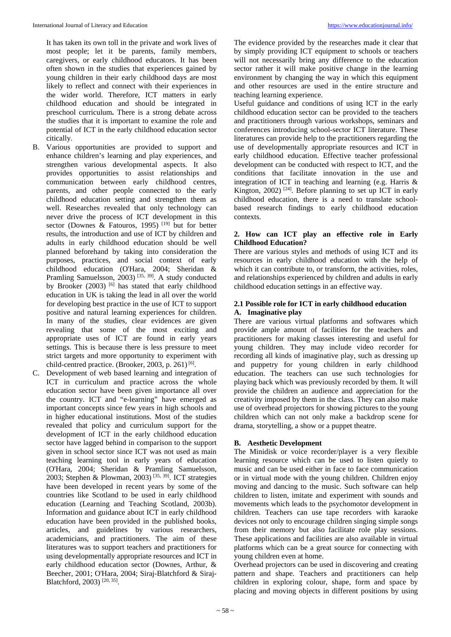It has taken its own toll in the private and work lives of most people; let it be parents, family members, caregivers, or early childhood educators. It has been often shown in the studies that experiences gained by young children in their early childhood days are most likely to reflect and connect with their experiences in the wider world. Therefore, ICT matters in early childhood education and should be integrated in preschool curriculum**.** There is a strong debate across the studies that it is important to examine the role and potential of ICT in the early childhood education sector citically.

- B. Various opportunities are provided to support and enhance children's learning and play experiences, and strengthen various developmental aspects. It also provides opportunities to assist relationships and communication between early childhood centres, parents, and other people connected to the early childhood education setting and strengthen them as well. Researches revealed that only technology can never drive the process of ICT development in this sector (Downes & Fatouros, 1995)<sup>[19]</sup> but for better results, the introduction and use of ICT by children and adults in early childhood education should be well planned beforehand by taking into consideration the purposes, practices, and social context of early childhood education (O'Hara, 2004; Sheridan & Pramling Samuelsson, 2003)<sup>[35, 39]</sup>. A study conducted by Brooker (2003)  $\frac{6}{ }$  has stated that early childhood education in UK is taking the lead in all over the world for developing best practice in the use of ICT to support positive and natural learning experiences for children. In many of the studies, clear evidences are given revealing that some of the most exciting and appropriate uses of ICT are found in early years settings. This is because there is less pressure to meet strict targets and more opportunity to experiment with child-centred practice. (Brooker, 2003, p. 261) $^{[6]}$ .
- C. Development of web based learning and integration of ICT in curriculum and practice across the whole education sector have been given importance all over the country. ICT and "e-learning" have emerged as important concepts since few years in high schools and in higher educational institutions. Most of the studies revealed that policy and curriculum support for the development of ICT in the early childhood education sector have lagged behind in comparison to the support given in school sector since ICT was not used as main teaching learning tool in early years of education (O'Hara, 2004; Sheridan & Pramling Samuelsson, 2003; Stephen & Plowman, 2003)<sup>[35, 39]</sup>. ICT strategies have been developed in recent years by some of the countries like Scotland to be used in early childhood education (Learning and Teaching Scotland, 2003b). Information and guidance about ICT in early childhood education have been provided in the published books, articles, and guidelines by various researchers, academicians, and practitioners. The aim of these literatures was to support teachers and practitioners for using developmentally appropriate resources and ICT in early childhood education sector (Downes, Arthur, & Beecher, 2001; O'Hara, 2004; Siraj-Blatchford & Siraj-Blatchford, 2003)<sup>[20, 35]</sup>.

The evidence provided by the researches made it clear that by simply providing ICT equipment to schools or teachers will not necessarily bring any difference to the education sector rather it will make positive change in the learning environment by changing the way in which this equipment and other resources are used in the entire structure and teaching learning experience.

Useful guidance and conditions of using ICT in the early childhood education sector can be provided to the teachers and practitioners through various workshops, seminars and conferences introducing school-sector ICT literature. These literatures can provide help to the practitioners regarding the use of developmentally appropriate resources and ICT in early childhood education. Effective teacher professional development can be conducted with respect to ICT, and the conditions that facilitate innovation in the use and integration of ICT in teaching and learning (e.g. Harris & Kington, 2002)<sup>[24]</sup>. Before planning to set up ICT in early childhood education, there is a need to translate schoolbased research findings to early childhood education contexts.

#### **2. How can ICT play an effective role in Early Childhood Education?**

There are various styles and methods of using ICT and its resources in early childhood education with the help of which it can contribute to, or transform, the activities, roles, and relationships experienced by children and adults in early childhood education settings in an effective way.

#### **2.1 Possible role for ICT in early childhood education A. Imaginative play**

There are various virtual platforms and softwares which provide ample amount of facilities for the teachers and practitioners for making classes interesting and useful for young children. They may include video recorder for recording all kinds of imaginative play, such as dressing up and puppetry for young children in early childhood education. The teachers can use such technologies for playing back which was previously recorded by them. It will provide the children an audience and appreciation for the creativity imposed by them in the class. They can also make use of overhead projectors for showing pictures to the young children which can not only make a backdrop scene for drama, storytelling, a show or a puppet theatre.

#### **B. Aesthetic Development**

The Minidisk or voice recorder/player is a very flexible learning resource which can be used to listen quietly to music and can be used either in face to face communication or in virtual mode with the young children. Children enjoy moving and dancing to the music. Such software can help children to listen, imitate and experiment with sounds and movements which leads to the psychomotor development in children. Teachers can use tape recorders with karaoke devices not only to encourage children singing simple songs from their memory but also facilitate role play sessions. These applications and facilities are also available in virtual platforms which can be a great source for connecting with young children even at home.

Overhead projectors can be used in discovering and creating pattern and shape. Teachers and practitioners can help children in exploring colour, shape, form and space by placing and moving objects in different positions by using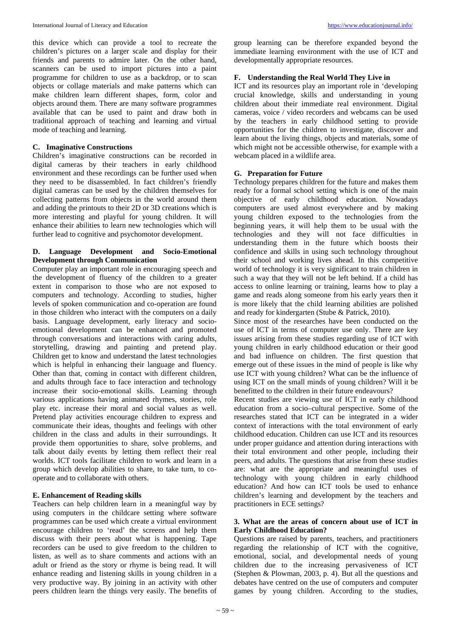this device which can provide a tool to recreate the children's pictures on a larger scale and display for their friends and parents to admire later. On the other hand, scanners can be used to import pictures into a paint programme for children to use as a backdrop, or to scan objects or collage materials and make patterns which can make children learn different shapes, form, color and objects around them. There are many software programmes available that can be used to paint and draw both in traditional approach of teaching and learning and virtual mode of teaching and learning.

#### **C. Imaginative Constructions**

Children's imaginative constructions can be recorded in digital cameras by their teachers in early childhood environment and these recordings can be further used when they need to be disassembled. In fact children's friendly digital cameras can be used by the children themselves for collecting patterns from objects in the world around them and adding the printouts to their 2D or 3D creations which is more interesting and playful for young children. It will enhance their abilities to learn new technologies which will further lead to cognitive and psychomotor development.

#### **D. Language Development and Socio-Emotional Development through Communication**

Computer play an important role in encouraging speech and the development of fluency of the children to a greater extent in comparison to those who are not exposed to computers and technology. According to studies, higher levels of spoken communication and co-operation are found in those children who interact with the computers on a daily basis. Language development, early literacy and socioemotional development can be enhanced and promoted through conversations and interactions with caring adults, storytelling, drawing and painting and pretend play. Children get to know and understand the latest technologies which is helpful in enhancing their language and fluency. Other than that, coming in contact with different children, and adults through face to face interaction and technology increase their socio-emotional skills. Learning through various applications having animated rhymes, stories, role play etc. increase their moral and social values as well. Pretend play activities encourage children to express and communicate their ideas, thoughts and feelings with other children in the class and adults in their surroundings. It provide them opportunities to share, solve problems, and talk about daily events by letting them reflect their real worlds. ICT tools facilitate children to work and learn in a group which develop abilities to share, to take turn, to cooperate and to collaborate with others.

#### **E. Enhancement of Reading skills**

Teachers can help children learn in a meaningful way by using computers in the childcare setting where software programmes can be used which create a virtual environment encourage children to 'read' the screens and help them discuss with their peers about what is happening. Tape recorders can be used to give freedom to the children to listen, as well as to share comments and actions with an adult or friend as the story or rhyme is being read. It will enhance reading and listening skills in young children in a very productive way. By joining in an activity with other peers children learn the things very easily. The benefits of

group learning can be therefore expanded beyond the immediate learning environment with the use of ICT and developmentally appropriate resources.

#### **F. Understanding the Real World They Live in**

ICT and its resources play an important role in 'developing crucial knowledge, skills and understanding in young children about their immediate real environment. Digital cameras, voice / video recorders and webcams can be used by the teachers in early childhood setting to provide opportunities for the children to investigate, discover and learn about the living things, objects and materials, some of which might not be accessible otherwise, for example with a webcam placed in a wildlife area.

#### **G. Preparation for Future**

Technology prepares children for the future and makes them ready for a formal school setting which is one of the main objective of early childhood education. Nowadays computers are used almost everywhere and by making young children exposed to the technologies from the beginning years, it will help them to be usual with the technologies and they will not face difficulties in understanding them in the future which boosts their confidence and skills in using such technology throughout their school and working lives ahead. In this competitive world of technology it is very significant to train children in such a way that they will not be left behind. If a child has access to online learning or training, learns how to play a game and reads along someone from his early years then it is more likely that the child learning abilities are polished and ready for kindergarten (Stube & Patrick, 2010).

Since most of the researches have been conducted on the use of ICT in terms of computer use only. There are key issues arising from these studies regarding use of ICT with young children in early childhood education or their good and bad influence on children. The first question that emerge out of these issues in the mind of people is like why use ICT with young children? What can be the influence of using ICT on the small minds of young children? Will it be benefitted to the children in their future endeavours?

Recent studies are viewing use of ICT in early childhood education from a socio–cultural perspective. Some of the researches stated that ICT can be integrated in a wider context of interactions with the total environment of early childhood education. Children can use ICT and its resources under proper guidance and attention during interactions with their total environment and other people, including their peers, and adults. The questions that arise from these studies are: what are the appropriate and meaningful uses of technology with young children in early childhood education? And how can ICT tools be used to enhance children's learning and development by the teachers and practitioners in ECE settings?

#### **3. What are the areas of concern about use of ICT in Early Childhood Education?**

Questions are raised by parents, teachers, and practitioners regarding the relationship of ICT with the cognitive, emotional, social, and developmental needs of young children due to the increasing pervasiveness of ICT (Stephen & Plowman, 2003, p. 4). But all the questions and debates have centred on the use of computers and computer games by young children. According to the studies,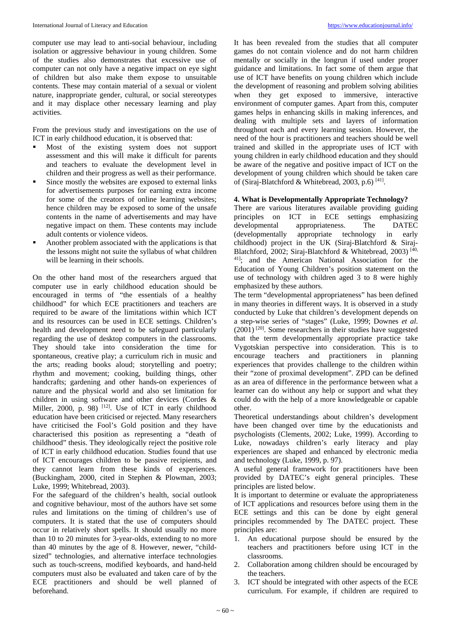computer use may lead to anti-social behaviour, including isolation or aggressive behaviour in young children. Some of the studies also demonstrates that excessive use of computer can not only have a negative impact on eye sight of children but also make them expose to unsuitable contents. These may contain material of a sexual or violent nature, inappropriate gender, cultural, or social stereotypes and it may displace other necessary learning and play activities.

From the previous study and investigations on the use of ICT in early childhood education, it is observed that:

- Most of the existing system does not support assessment and this will make it difficult for parents and teachers to evaluate the development level in children and their progress as well as their performance.
- Since mostly the websites are exposed to external links for advertisements purposes for earning extra income for some of the creators of online learning websites; hence children may be exposed to some of the unsafe contents in the name of advertisements and may have negative impact on them. These contents may include adult contents or violence videos.
- Another problem associated with the applications is that the lessons might not suite the syllabus of what children will be learning in their schools.

On the other hand most of the researchers argued that computer use in early childhood education should be encouraged in terms of "the essentials of a healthy childhood" for which ECE practitioners and teachers are required to be aware of the limitations within which ICT and its resources can be used in ECE settings. Children's health and development need to be safeguard particularly regarding the use of desktop computers in the classrooms. They should take into consideration the time for spontaneous, creative play; a curriculum rich in music and the arts; reading books aloud; storytelling and poetry; rhythm and movement; cooking, building things, other handcrafts; gardening and other hands-on experiences of nature and the physical world and also set limitation for children in using software and other devices (Cordes & Miller, 2000, p. 98) <sup>[12]</sup>. Use of ICT in early childhood education have been criticised or rejected. Many researchers have criticised the Fool's Gold position and they have characterised this position as representing a "death of childhood" thesis. They ideologically reject the positive role of ICT in early childhood education. Studies found that use of ICT encourages children to be passive recipients, and they cannot learn from these kinds of experiences. (Buckingham, 2000, cited in Stephen & Plowman, 2003; Luke, 1999; Whitebread, 2003).

For the safeguard of the children's health, social outlook and cognitive behaviour, most of the authors have set some rules and limitations on the timing of children's use of computers. It is stated that the use of computers should occur in relatively short spells. It should usually no more than 10 to 20 minutes for 3-year-olds, extending to no more than 40 minutes by the age of 8. However, newer, "childsized" technologies, and alternative interface technologies such as touch-screens, modified keyboards, and hand-held computers must also be evaluated and taken care of by the ECE practitioners and should be well planned of beforehand.

It has been revealed from the studies that all computer games do not contain violence and do not harm children mentally or socially in the longrun if used under proper guidance and limitations. In fact some of them argue that use of ICT have benefits on young children which include the development of reasoning and problem solving abilities when they get exposed to immersive, interactive environment of computer games. Apart from this, computer games helps in enhancing skills in making inferences, and dealing with multiple sets and layers of information throughout each and every learning session. However, the need of the hour is practitioners and teachers should be well trained and skilled in the appropriate uses of ICT with young children in early childhood education and they should be aware of the negative and positive impact of ICT on the development of young children which should be taken care of (Siraj-Blatchford & Whitebread, 2003, p.6)<sup>[41]</sup>.

#### **4. What is Developmentally Appropriate Technology?**

There are various literatures available providing guiding principles on ICT in ECE settings emphasizing developmental appropriateness. The DATEC (developmentally appropriate technology in early childhood) project in the UK (Siraj-Blatchford & Siraj-Blatchford, 2002; Siraj-Blatchford & Whitebread, 2003) [40, 41] ; and the American National Association for the Education of Young Children's position statement on the use of technology with children aged 3 to 8 were highly emphasized by these authors.

The term "developmental appropriateness" has been defined in many theories in different ways. It is observed in a study conducted by Luke that children's development depends on a step-wise series of "stages" (Luke, 1999; Downes *et al*. (2001) [20] . Some researchers in their studies have suggested that the term developmentally appropriate practice take Vygotskian perspective into consideration. This is to encourage teachers and practitioners in planning experiences that provides challenge to the children within their "zone of proximal development". ZPD can be defined as an area of difference in the performance between what a learner can do without any help or support and what they could do with the help of a more knowledgeable or capable other.

Theoretical understandings about children's development have been changed over time by the educationists and psychologists (Clements, 2002; Luke, 1999). According to Luke, nowadays children's early literacy and play experiences are shaped and enhanced by electronic media and technology (Luke, 1999, p. 97).

A useful general framework for practitioners have been provided by DATEC's eight general principles. These principles are listed below.

It is important to determine or evaluate the appropriateness of ICT applications and resources before using them in the ECE settings and this can be done by eight general principles recommended by The DATEC project. These principles are:

- 1. An educational purpose should be ensured by the teachers and practitioners before using ICT in the classrooms.
- 2. Collaboration among children should be encouraged by the teachers.
- 3. ICT should be integrated with other aspects of the ECE curriculum. For example, if children are required to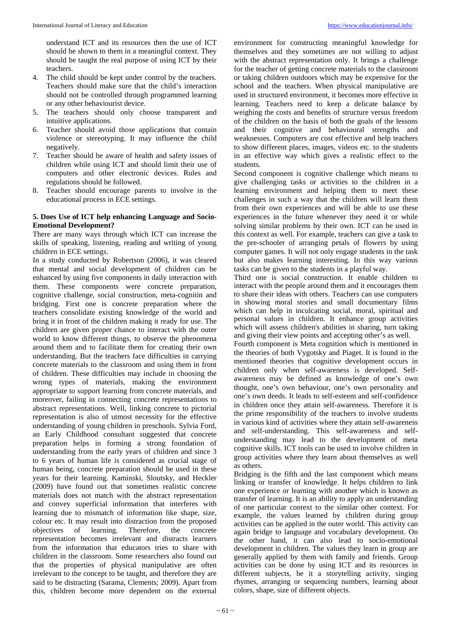understand ICT and its resources then the use of ICT should be shown to them in a meaningful context. They should be taught the real purpose of using ICT by their teachers.

- 4. The child should be kept under control by the teachers. Teachers should make sure that the child's interaction should not be controlled through programmed learning or any other behaviourist device.
- 5. The teachers should only choose transparent and intuitive applications.
- 6. Teacher should avoid those applications that contain violence or stereotyping. It may influence the child negatively.
- 7. Teacher should be aware of health and safety issues of children while using ICT and should limit their use of computers and other electronic devices. Rules and regulations should be followed.
- 8. Teacher should encourage parents to involve in the educational process in ECE settings.

#### **5. Does Use of ICT help enhancing Language and Socio-Emotional Development?**

There are many ways through which ICT can increase the skills of speaking, listening, reading and writing of young children in ECE settings.

In a study conducted by Robertson (2006), it was cleared that mental and social development of children can be enhanced by using five components in daily interaction with them. These components were concrete preparation, cognitive challenge, social construction, meta-cognitin and bridging. First one is concrete preparation where the teachers consolidate existing knowledge of the world and bring it in front of the children making it ready for use. The children are given proper chance to interact with the outer world to know different things, to observe the phenomena around them and to facilitate them for creating their own understanding*.* But the teachers face difficulties in carrying concrete materials to the classroom and using them in front of children. These difficulties may include in choosing the wrong types of materials, making the environment appropriate to support learning from concrete materials, and moreover, failing in connecting concrete representations to abstract representations. Well, linking concrete to pictorial representation is also of utmost necessity for the effective understanding of young children in preschools. Sylvia Ford, an Early Childhood consultant suggested that concrete preparation helps in forming a strong foundation of understanding from the early years of children and since 3 to 6 years of human life is considered as crucial stage of human being, concrete preparation should be used in these years for their learning. Kaminski, Sloutsky, and Heckler (2009) have found out that sometimes realistic concrete materials does not match with the abstract representation and convey superficial information that interferes with learning due to mismatch of information like shape, size, colour etc. It may result into distraction from the proposed objectives of learning. Therefore, the concrete representation becomes irrelevant and distracts learners from the information that educators tries to share with children in the classroom. Some researchers also found out that the properties of physical manipulative are often irrelevant to the concept to be taught, and therefore they are said to be distracting (Sarama, Clements; 2009). Apart from this, children become more dependent on the external

environment for constructing meaningful knowledge for themselves and they sometimes are not willing to adjust with the abstract representation only. It brings a challenge for the teacher of getting concrete materials to the classroom or taking children outdoors which may be expensive for the school and the teachers. When physical manipulative are used in structured environment, it becomes more effective in learning. Teachers need to keep a delicate balance by weighing the costs and benefits of structure versus freedom of the children on the basis of both the goals of the lessons and their cognitive and behavioural strengths and weaknesses. Computers are cost effective and help teachers to show different places, images, videos etc. to the students in an effective way which gives a realistic effect to the students.

Second component is cognitive challenge which means to give challenging tasks or activities to the children in a learning environment and helping them to meet these challenges in such a way that the children will learn them from their own experiences and will be able to use these experiences in the future whenever they need it or while solving similar problems by their own. ICT can be used in this context as well. For example, teachers can give a task to the pre-schooler of arranging petals of flowers by using computer games. It will not only engage students in the task but also makes learning interesting. In this way various tasks can be given to the students in a playful way.

Third one is social construction. It enable children to interact with the people around them and it encourages them to share their ideas with others. Teachers can use computers in showing moral stories and small documentary films which can help in inculcating social, moral, spiritual and personal values in children. It enhance group activities which will assess children's abilities in sharing, turn taking and giving their view points and accepting other's as well.

Fourth component is Meta cognition which is mentioned in the theories of both Vygotsky and Piaget. It is found in the mentioned theories that cognitive development occurs in children only when self-awareness is developed. Selfawareness may be defined as knowledge of one's own thought, one's own behaviour, one's own personality and one's own deeds. It leads to self-esteem and self-confidence in children once they attain self-awareness. Therefore it is the prime responsibility of the teachers to involve students in various kind of activities where they attain self-awareness and self-understanding. This self-awareness and selfunderstanding may lead to the development of meta cognitive skills. ICT tools can be used to involve children in group activities where they learn about themselves as well as others.

Bridging is the fifth and the last component which means linking or transfer of knowledge. It helps children to link one experience or learning with another which is known as transfer of learning. It is an ability to apply an understanding of one particular context to the similar other context. For example, the values learned by children during group activities can be applied in the outer world. This activity can again bridge to language and vocabulary development. On the other hand, it can also lead to socio-emotional development in children. The values they learn in group are generally applied by them with family and friends. Group activities can be done by using ICT and its resources in different subjects, be it a storytelling activity, singing rhymes, arranging or sequencing numbers, learning about colors, shape, size of different objects.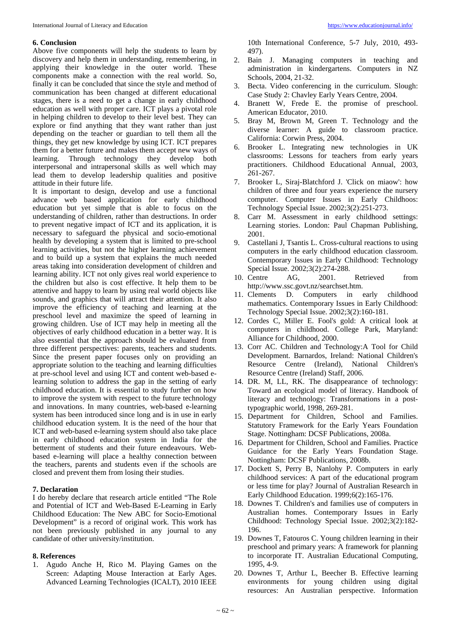#### **6. Conclusion**

Above five components will help the students to learn by discovery and help them in understanding, remembering, in applying their knowledge in the outer world. These components make a connection with the real world. So, finally it can be concluded that since the style and method of communication has been changed at different educational stages, there is a need to get a change in early childhood education as well with proper care. ICT plays a pivotal role in helping children to develop to their level best. They can explore or find anything that they want rather than just depending on the teacher or guardian to tell them all the things, they get new knowledge by using ICT. ICT prepares them for a better future and makes them accept new ways of learning. Through technology they develop both interpersonal and intrapersonal skills as well which may lead them to develop leadership qualities and positive attitude in their future life.

It is important to design, develop and use a functional advance web based application for early childhood education but yet simple that is able to focus on the understanding of children, rather than destructions. In order to prevent negative impact of ICT and its application, it is necessary to safeguard the physical and socio-emotional health by developing a system that is limited to pre-school learning activities, but not the higher learning achievement and to build up a system that explains the much needed areas taking into consideration development of children and learning ability. ICT not only gives real world experience to the children but also is cost effective. It help them to be attentive and happy to learn by using real world objects like sounds, and graphics that will attract their attention. It also improve the efficiency of teaching and learning at the preschool level and maximize the speed of learning in growing children. Use of ICT may help in meeting all the objectives of early childhood education in a better way. It is also essential that the approach should be evaluated from three different perspectives: parents, teachers and students. Since the present paper focuses only on providing an appropriate solution to the teaching and learning difficulties at pre-school level and using ICT and content web-based elearning solution to address the gap in the setting of early childhood education. It is essential to study further on how to improve the system with respect to the future technology and innovations. In many countries, web-based e-learning system has been introduced since long and is in use in early childhood education system. It is the need of the hour that ICT and web-based e-learning system should also take place in early childhood education system in India for the betterment of students and their future endeavours. Webbased e-learning will place a healthy connection between the teachers, parents and students even if the schools are closed and prevent them from losing their studies.

#### **7. Declaration**

I do hereby declare that research article entitled "The Role and Potential of ICT and Web-Based E-Learning in Early Childhood Education: The New ABC for Socio-Emotional Development" is a record of original work. This work has not been previously published in any journal to any candidate of other university/institution.

#### **8. References**

1. Agudo Anche H, Rico M. Playing Games on the Screen: Adapting Mouse Interaction at Early Ages. Advanced Learning Technologies (ICALT), 2010 IEEE

10th International Conference, 5-7 July, 2010, 493- 497).

- 2. Bain J. Managing computers in teaching and administration in kindergartens. Computers in NZ Schools, 2004, 21-32.
- 3. Becta. Video conferencing in the curriculum. Slough: Case Study 2: Chavley Early Years Centre, 2004.
- 4. Branett W, Frede E. the promise of preschool. American Educator, 2010.
- 5. Bray M, Brown M, Green T. Technology and the diverse learner: A guide to classroom practice. California: Corwin Press, 2004.
- 6. Brooker L. Integrating new technologies in UK classrooms: Lessons for teachers from early years practitioners. Childhood Educational Annual, 2003, 261-267.
- 7. Brooker L, Siraj-Blatchford J. 'Click on miaow': how children of three and four years experience the nursery computer. Computer Issues in Early Childhoos: Technology Special Issue. 2002;3(2):251-273.
- 8. Carr M. Assessment in early childhood settings: Learning stories. London: Paul Chapman Publishing, 2001.
- 9. Castellani J, Tsantis L. Cross-cultural reactions to using computers in the early childhood education classroom. Contemporary Issues in Early Childhood: Technology Special Issue. 2002;3(2):274-288.
- 10. Centre AG, 2001. Retrieved from http://www.ssc.govt.nz/searchset.htm.
- 11. Clements D. Computers in early childhood mathematics. Contemporary Issues in Early Childhood: Technology Special Issue. 2002;3(2):160-181.
- 12. Cordes C, Miller E. Fool's gold: A critical look at computers in childhood. College Park, Maryland: Alliance for Childhood, 2000.
- 13. Corr AC. Children and Technology:A Tool for Child Development. Barnardos, Ireland: National Children's Resource Centre (Ireland), National Children's Resource Centre (Ireland) Staff, 2006.
- 14. DR. M, LL, RK. The disappearance of technology: Toward an ecological model of literacy. Handbook of literacy and technology: Transformations in a posttypographic world, 1998, 269-281.
- 15. Department for Children, School and Families. Statutory Framework for the Early Years Foundation Stage. Nottingham: DCSF Publications, 2008a.
- 16. Department for Children, School and Families. Practice Guidance for the Early Years Foundation Stage. Nottingham: DCSF Publications, 2008b.
- 17. Dockett S, Perry B, Nanlohy P. Computers in early childhood services: A part of the educational program or less time for play? Journal of Australian Research in Early Childhood Education. 1999;6(2):165-176.
- 18. Downes T. Children's and families use of computers in Australian homes. Contemporary Issues in Early Childhood: Technology Special Issue. 2002;3(2):182- 196.
- 19. Downes T, Fatouros C. Young children learning in their preschool and primary years: A framework for planning to incorporate IT. Australian Educational Computing, 1995, 4-9.
- 20. Downes T, Arthur L, Beecher B. Effective learning environments for young children using digital resources: An Australian perspective. Information